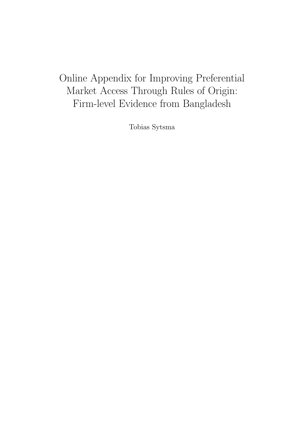# Online Appendix for Improving Preferential Market Access Through Rules of Origin: Firm-level Evidence from Bangladesh

Tobias Sytsma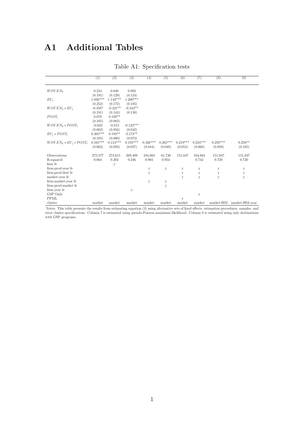## A1 Additional Tables

|                              | (1)                              | (2)                              | (3)                              | (4)                   | (5)                   | (6)                   | (7)                   | (8)                   | (9)                  |
|------------------------------|----------------------------------|----------------------------------|----------------------------------|-----------------------|-----------------------|-----------------------|-----------------------|-----------------------|----------------------|
| $WOVEN_k$                    | 0.234<br>(0.191)                 | 0.040<br>(0.129)                 | 0.092<br>(0.124)                 |                       |                       |                       |                       |                       |                      |
| $EU_i$                       | $1.056^{***}\;$                  | $1.142***$                       | $1.200***$                       |                       |                       |                       |                       |                       |                      |
| $WOVEN_k * EU_i$             | (0.252)<br>$-0.358*$             | (0.172)<br>$-0.321**$            | (0.185)<br>$-0.343**$            |                       |                       |                       |                       |                       |                      |
| $POST_t$                     | (0.191)<br>0.078                 | (0.143)<br>$0.192**$             | (0.138)                          |                       |                       |                       |                       |                       |                      |
| $WOVEN_k * POST_t$           | (0.105)<br>$-0.023$              | (0.082)<br>$-0.012$              | $-0.122***$                      |                       |                       |                       |                       |                       |                      |
| $EU_i * POST_t$              | (0.062)<br>$0.305***$            | (0.056)<br>$0.193**$             | (0.042)<br>$0.173**$             |                       |                       |                       |                       |                       |                      |
| $WOVEN_k * EU_i * POST_t$    | (0.105)<br>$0.165***$<br>(0.062) | (0.080)<br>$0.154***$<br>(0.050) | (0.073)<br>$0.195***$<br>(0.037) | $0.326***$<br>(0.044) | $0.265***$<br>(0.049) | $0.219***$<br>(0.053) | $0.224***$<br>(0.068) | $0.258***$<br>(0.059) | $0.258**$<br>(0.105) |
| Observations                 | 275,577                          | 273.615                          | 269,409                          | 104,803               | 61,730                | 151,847               | 104,863               | 151,847               | 151,847              |
| R-squared                    | 0.064                            | 0.202                            | 0.246                            | 0.903                 | 0.954                 |                       | 0.742                 | 0.720                 | 0.720                |
| firm fe<br>firm-prod-year fe |                                  | y                                |                                  |                       |                       |                       |                       |                       |                      |
| firm-prod-dest fe            |                                  |                                  |                                  | $\mathbf y$<br>y      | y                     | у<br>y                | у                     | $\mathbf y$           | у<br>y               |
| market-year fe               |                                  |                                  |                                  |                       |                       | у                     | y<br>у                | y<br>y                | y                    |
| firm-market-year fe          |                                  |                                  |                                  | у                     | у                     |                       |                       |                       |                      |
| firm-prod-market fe          |                                  |                                  |                                  |                       | y                     |                       |                       |                       |                      |
| firm-year fe                 |                                  |                                  | у                                |                       |                       |                       |                       |                       |                      |
| GSP Only                     |                                  |                                  |                                  |                       |                       |                       | y                     |                       |                      |
| <b>PPML</b>                  |                                  |                                  |                                  |                       |                       | У                     |                       |                       |                      |
| cluster                      | market                           | market                           | market                           | market                | market                | market                | market                | market-HS2            | market-HS2-year      |

#### Table A1: Specification tests

Notes: This table presents the results from estimating equation (3) using alternative sets of fixed effects, estimation procedures, samples, and error cluster specifications. Column 7 is estimated using pseudo-Poisson maximum likelihood. Column 8 is estimated using only destinations with GSP programs.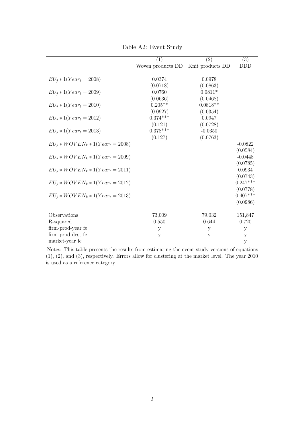|                                        | (1)                               | (2)                            | $\overline{(3)}$                   |
|----------------------------------------|-----------------------------------|--------------------------------|------------------------------------|
|                                        | Woven products DD                 | Knit products DD               | <b>DDD</b>                         |
| $EU_i * 1(Year_t = 2008)$              | 0.0374<br>(0.0718)                | 0.0978<br>(0.0863)             |                                    |
| $EU_i * 1(Year_t = 2009)$              | 0.0760                            | $0.0811*$                      |                                    |
| $EU_i * 1(Year_t = 2010)$              | (0.0636)<br>$0.205**$             | (0.0468)<br>$0.0818**$         |                                    |
| $EU_i * 1(Year_t = 2012)$              | (0.0927)<br>$0.374***$<br>(0.121) | (0.0354)<br>0.0947<br>(0.0728) |                                    |
| $EU_i * 1(Year_t = 2013)$              | $0.378***$<br>(0.127)             | $-0.0350$<br>(0.0763)          |                                    |
| $EU_i * WOVEN_k * 1(Year_t = 2008)$    |                                   |                                | $-0.0822$                          |
| $EU_i * WOVEN_k * 1(Year_t = 2009)$    |                                   |                                | (0.0584)<br>$-0.0448$<br>(0.0785)  |
| $EU_i * WOVEN_k * 1(Year_t = 2011)$    |                                   |                                | 0.0934<br>(0.0743)                 |
| $EU_i * WOVEN_k * 1(Year_t = 2012)$    |                                   |                                | $0.247***$                         |
| $EU_i * WOVEN_k * 1(Year_t = 2013)$    |                                   |                                | (0.0778)<br>$0.407***$<br>(0.0986) |
| Observations                           | 73,009                            | 79,032                         | 151,847                            |
| R-squared                              | 0.550                             | 0.644                          | 0.720                              |
| firm-prod-year fe<br>firm-prod-dest fe | $\mathbf{y}$                      | y                              | у                                  |
| market-year fe                         | $\mathbf y$                       | $\mathbf{y}$                   | y<br>$\mathbf{y}$                  |

Table A2: Event Study

Notes: This table presents the results from estimating the event study versions of equations (1), (2), and (3), respectively. Errors allow for clustering at the market level. The year 2010 is used as a reference category.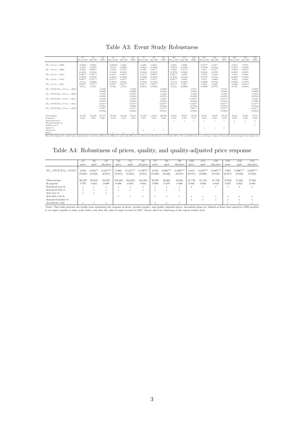Table A3: Event Study Robustness

|                                                                                                                                                                                                                                | (1)<br>Woven DD        | (2)<br>Knit DD         | (3)<br><b>DDD</b>     | (4)<br>Woven DD Knit DD | (5)                    | (6)<br><b>DDD</b>     | (7)<br>Woven DD        | (8)<br>Knit DD         | (9)<br><b>DDD</b>      | (10)<br>Woven DD       | (11)<br>Knit DD    | (12)<br><b>DDD</b>     | (13)<br>Woven DD   | (14)<br>Knit DD       | (15)<br><b>DDD</b>     | (16)<br>Woven DD  | (17)<br>Knit DD    | (18)<br><b>DDD</b>     |
|--------------------------------------------------------------------------------------------------------------------------------------------------------------------------------------------------------------------------------|------------------------|------------------------|-----------------------|-------------------------|------------------------|-----------------------|------------------------|------------------------|------------------------|------------------------|--------------------|------------------------|--------------------|-----------------------|------------------------|-------------------|--------------------|------------------------|
|                                                                                                                                                                                                                                |                        |                        |                       |                         |                        |                       |                        |                        |                        |                        |                    |                        |                    |                       |                        |                   |                    |                        |
| $EU_i * (Year_i = 2008)$                                                                                                                                                                                                       | $-0.00819$             | 0.00244                |                       | $-0.000189$             | 0.0464                 |                       | 0.0298                 | 0.0456                 |                        | 0.0855                 | 0.0298             |                        | $0.233***$         | $0.150**$             |                        | 0.0714            | 0.0747             |                        |
|                                                                                                                                                                                                                                | (0.108)                | (0.0870)               |                       | (0.103)                 | (0.0862)               |                       | (0.0834)               | (0.0903)               |                        | (0.0872)               | (0.0856)           |                        | (0.0590)           | (0.0584)              |                        | (0.0474)          | (0.0640)           |                        |
| $EU_i * (Year_t = 2009)$                                                                                                                                                                                                       | 0.0659                 | $0.0998**$             |                       | 0.0178                  | $0.127***$             |                       | 0.0390                 | $0.126***$             |                        | 0.0835                 | $0.121***$         |                        | $0.101*$           | $0.153***$            |                        | 0.0760            | $0.0656*$          |                        |
| $EU_i * (Year_t = 2011)$                                                                                                                                                                                                       | (0.0455)<br>$0.209***$ | (0.0414)<br>$0.156***$ |                       | (0.0433)<br>$0.140**$   | (0.0401)<br>$0.136***$ |                       | (0.0494)<br>$0.153***$ | (0.0410)<br>$0.0999**$ |                        | (0.0579)<br>$0.220***$ | (0.0428)<br>0.0798 |                        | (0.0542)<br>0.0747 | (0.0378)<br>$-0.0231$ |                        | (0.0607)<br>0.110 | (0.0367)<br>0.0292 |                        |
|                                                                                                                                                                                                                                | (0.0697)               | (0.0535)               |                       | (0.0627)                | (0.0488)               |                       | (0.0496)               | (0.0458)               |                        | (0.0831)               | (0.0568)           |                        | (0.0577)           | (0.0374)              |                        | (0.0697)          | (0.0421)           |                        |
| $EU_i * (Year_t = 2012)$                                                                                                                                                                                                       | $0.469***$             | $0.275***$             |                       | $0.313***$              | $0.213***$             |                       | $0.368***$             | $0.183**$              |                        | $0.434***$             | 0.0950             |                        | $0.133*$           | $-0.0969$             |                        | 0.0852            | $-0.0852$          |                        |
|                                                                                                                                                                                                                                | (0.114)                | (0.0980)               |                       | (0.0947)                | (0.0851)               |                       | (0.0724)               | (0.0746)               |                        | (0.114)                | (0.0867)           |                        | (0.0696)           | (0.0722)              |                        | (0.0968)          | (0.0737)           |                        |
| $EU_i * (Year_i = 2013)$                                                                                                                                                                                                       | $0.686***$             | $0.510***$             |                       | $0.482***$              | $0.381***$             |                       | $0.518***$             | $0.350***$             |                        | 0.501***               | $0.198**$          |                        | 0.0782             | $-0.0647$             |                        | $-0.0428$         | $-0.234***$        |                        |
|                                                                                                                                                                                                                                | (0.135)                | (0.114)                |                       | (0.106)                 | (0.103)                |                       | (0.0951)               | (0.0936)               |                        | (0.142)                | (0.0996)           |                        | (0.0826)           | (0.0775)              |                        | (0.137)           | (0.0834)           |                        |
| $EU_i * WOVEN_K * (Year_i = 2008)$                                                                                                                                                                                             |                        |                        | $-0.0106$<br>(0.0639) |                         |                        | $-0.0285$<br>(0.0629) |                        |                        | $-0.00207$<br>(0.0592) |                        |                    | 0.0557<br>(0.0487)     |                    |                       | 0.0138<br>(0.0342)     |                   |                    | $-0.00807$<br>(0.0622) |
| $EU_i * WOVEN_K * (Year = 2009)$                                                                                                                                                                                               |                        |                        | $-0.0339$             |                         |                        | $-0.0547*$            |                        |                        | $-0.0522$              |                        |                    | $-0.0378$              |                    |                       | $-0.0627$              |                   |                    | $-0.0112$              |
|                                                                                                                                                                                                                                |                        |                        | (0.0294)              |                         |                        | (0.0302)              |                        |                        | (0.0371)               |                        |                    | (0.0492)               |                    |                       | (0.0407)               |                   |                    | (0.0784)               |
| $EU_i * WOVEN_K * (Year_t = 2011)$                                                                                                                                                                                             |                        |                        | 0.0536                |                         |                        | 0.0376                |                        |                        | 0.0438                 |                        |                    | $0.140***$             |                    |                       | $0.131***$             |                   |                    | 0.0526                 |
|                                                                                                                                                                                                                                |                        |                        | (0.0355)              |                         |                        | (0.0363)              |                        |                        | (0.0301)               |                        |                    | (0.0369)               |                    |                       | (0.0449)               |                   |                    | (0.0428)               |
| $EU_i * WOVEN_K * (Year_i = 2012)$                                                                                                                                                                                             |                        |                        | $0.194***$            |                         |                        | $0.169***$            |                        |                        | $0.248***$             |                        |                    | $0.339***$             |                    |                       | $0.305***$             |                   |                    | $0.141***$             |
| $EU_i * WOVEN_K * (Year_i = 2013)$                                                                                                                                                                                             |                        |                        | (0.0677)<br>$0.176**$ |                         |                        | (0.0608)<br>$0.158**$ |                        |                        | (0.0450)<br>$0.211***$ |                        |                    | (0.0730)<br>$0.304***$ |                    |                       | (0.0572)<br>$0.254***$ |                   |                    | (0.0519)<br>$0.164***$ |
|                                                                                                                                                                                                                                |                        |                        | (0.0786)              |                         |                        | (0.0665)              |                        |                        | (0.0587)               |                        |                    | (0.0950)               |                    |                       | (0.0880)               |                   |                    | (0.0616)               |
|                                                                                                                                                                                                                                |                        |                        |                       |                         |                        |                       |                        |                        |                        |                        |                    |                        |                    |                       |                        |                   |                    |                        |
| Observations                                                                                                                                                                                                                   | 127.378                | 148.199                | 275.577               | 125.598                 | 146.365                | 273.615               | 121.627                | 142.025                | 269.409                | 80.784                 | 89.659             | 170.443                | 80.756             | 89.629                | 170.419                | 46.912            | 48.992             | 95.752                 |
| R-squared                                                                                                                                                                                                                      | 0.046                  | 0.084                  | 0.066                 | 0.218                   | 0.241                  | 0.203                 | 0.265                  | 0.293                  | 0.246                  | 0.478                  | 0.554              | 0.517                  | 0.649              | 0.645                 | 0.642                  | 0.893             | 0.898              | 0.899                  |
| firm-prod-year fe<br>firm-prod-market fe                                                                                                                                                                                       |                        |                        |                       |                         |                        |                       |                        |                        |                        | v                      | v                  | v                      | v                  | $\mathbf{v}$          | v                      | V<br>$\mathbf{v}$ | v                  | XI.                    |
| market-year fe                                                                                                                                                                                                                 |                        |                        |                       |                         |                        |                       |                        |                        |                        |                        |                    |                        |                    |                       |                        |                   | v                  |                        |
| market fe                                                                                                                                                                                                                      |                        |                        |                       |                         |                        |                       |                        |                        |                        |                        |                    |                        | V                  | V                     | V                      |                   |                    |                        |
| firm-year fe                                                                                                                                                                                                                   |                        |                        |                       |                         |                        |                       | v                      | v                      | v                      |                        |                    |                        |                    |                       |                        |                   |                    |                        |
| firm fe                                                                                                                                                                                                                        |                        |                        |                       |                         |                        |                       |                        |                        |                        |                        |                    |                        |                    |                       |                        |                   |                    |                        |
| This table displays the results from estimating the event-study difference-in-differences and triple-difference specifications with alternate sets of fixed effects. The year 2010 is used as a reference category. Errors all |                        |                        |                       |                         |                        |                       |                        |                        |                        |                        |                    |                        |                    |                       |                        |                   |                    |                        |

Table A4: Robustness of prices, quality, and quality-adjusted price response

|                           | (1)              | (2)                  | (3)                    | (4)              | (5)                   | (6)                    | (7)              | $^{(8)}$              | [9]                    | (10)             | (11)                  | (12)                   | 13)              | (14)                  | (15)                   |
|---------------------------|------------------|----------------------|------------------------|------------------|-----------------------|------------------------|------------------|-----------------------|------------------------|------------------|-----------------------|------------------------|------------------|-----------------------|------------------------|
|                           | price            | qual                 | adj price              | price            | qual                  | adj price              | price            | qual                  | adj price              | price            | qual                  | adj price              | price            | qual                  | adj price              |
| $EU_i * WOVEN_k * POST_t$ | 0.016<br>(0.010) | $0.063**$<br>(0.024) | $-0.047***$<br>(0.017) | 0.003<br>(0.013) | $0.112***$<br>(0.023) | $-0.109***$<br>(0.015) | 0.016<br>(0.016) | $0.096***$<br>(0.026) | $-0.080***$<br>(0.017) | 0.014<br>(0.017) | $0.102***$<br>(0.026) | $-0.088***$<br>(0.016) | 0.007<br>(0.017) | $0.096***$<br>(0.026) | $-0.089***$<br>(0.016) |
| Observations              | 60.919           | 60.919               | 60,919                 | 104,803          | 104,803               | 104,803                | 38,065           | 38,065                | 38,065                 | 61.730           | 61.730                | 61,730                 | 37.662           | 37.662                | 37,662                 |
| R-squared                 | 0.797            | 0.663                | 0.699                  | 0.896            | 0.856                 | 0.884                  | 0.909            | 0.879                 | 0.898                  | 0.940            | 0.926                 | 0.944                  | 0.937            | 0.922                 | 0.940                  |
| firm-prod-year fe         |                  | v                    |                        |                  |                       | v                      | $\mathbf{v}$     |                       | ٠.                     | v                |                       | v                      | v                | v                     | v                      |
| firm-prod-dest fe         |                  |                      | $\mathbf{v}$           |                  |                       | v                      | X.               |                       | ٠.                     |                  |                       |                        |                  |                       |                        |
| dest-year fe              |                  |                      | $\mathbf{v}$           |                  |                       |                        |                  |                       |                        |                  |                       |                        |                  |                       |                        |
| firm-dest-year fe         |                  |                      |                        |                  |                       | v                      | v                |                       | ٠.                     |                  |                       | v                      |                  |                       |                        |
| firm-prod-market fe       |                  |                      |                        |                  |                       |                        |                  |                       |                        | <b>AP</b>        |                       | v                      |                  |                       |                        |
| incumbents only           |                  |                      |                        |                  |                       |                        |                  |                       |                        |                  |                       |                        |                  |                       |                        |

 $\frac{1}{2}$ <br>Notes: This table presents the results from estimating the response of prices, product quality, and quality-adjusted prices. Incumbent firms are defined as firms that exported a HSS product<br>Notes: This table pre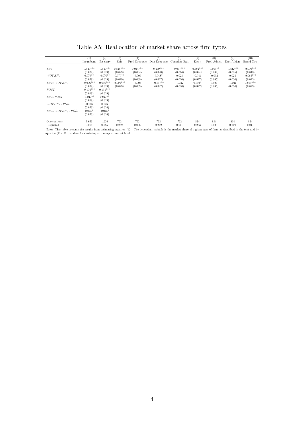|                           | $_{(1)}$    | (2)         | (3)         | (4)           | (5)           | (6)           | (7)         | (8)         | (9)         | (10)             |
|---------------------------|-------------|-------------|-------------|---------------|---------------|---------------|-------------|-------------|-------------|------------------|
|                           | Incumbent   | Net entry   | Exit        | Prod Droppers | Dest Droppers | Complete Exit | Entry       | Prod Adders | Dest Adders | <b>Brand New</b> |
|                           |             |             |             |               |               |               |             |             |             |                  |
| $EU_i$                    | $0.549***$  | $-0.549***$ | $0.549***$  | $0.014***$    | $0.469***$    | $0.067***$    | $-0.502***$ | $-0.010**$  | $-0.422***$ | $-0.070***$      |
|                           | (0.029)     | (0.029)     | (0.029)     | (0.004)       | (0.028)       | (0.016)       | (0.024)     | (0.004)     | (0.025)     | (0.018)          |
| $WOVEN_k$                 | $0.070**$   | $-0.070**$  | $0.070**$   | $-0.006$      | $0.048*$      | 0.028         | $-0.044$    | $-0.002$    | 0.023       | $-0.065***$      |
|                           | (0.029)     | (0.029)     | (0.029)     | (0.009)       | (0.027)       | (0.020)       | (0.027)     | (0.005)     | (0.030)     | (0.023)          |
| $EU_i * WOVEN_k$          | $-0.096***$ | $0.096***$  | $-0.096***$ | $-0.007$      | $-0.057**$    | $-0.032$      | $0.050*$    | 0.006       | $-0.021$    | $0.065***$       |
|                           | (0.029)     | (0.029)     | (0.029)     | (0.009)       | (0.027)       | (0.020)       | (0.027)     | (0.005)     | (0.030)     | (0.023)          |
| $POST_t$                  | $-0.104***$ | $0.104***$  |             |               |               |               |             |             |             |                  |
|                           | (0.019)     | (0.019)     |             |               |               |               |             |             |             |                  |
| $EU_i * POST_t$           | $-0.047**$  | $0.047**$   |             |               |               |               |             |             |             |                  |
|                           | (0.019)     | (0.019)     |             |               |               |               |             |             |             |                  |
| $WOVEN_k * POST_t$        | $-0.026$    | 0.026       |             |               |               |               |             |             |             |                  |
|                           | (0.026)     | (0.026)     |             |               |               |               |             |             |             |                  |
| $EU_i * WOVEN_k * POST_t$ | $0.045*$    | $-0.045*$   |             |               |               |               |             |             |             |                  |
|                           | (0.026)     | (0.026)     |             |               |               |               |             |             |             |                  |
|                           |             |             |             |               |               |               |             |             |             |                  |
| Observations              | 1,626       | 1.626       | 792         | 792           | 792           | 792           | 834         | 834         | 834         | 834              |
| R-squared                 | 0.285       | 0.285       | 0.269       | 0.006         | 0.212         | 0.011         | 0.263       | 0.003       | 0.219       | 0.011            |

Table A5: Reallocation of market share across firm types

Notes: This table presents the results from estimating equation (12). The dependent variable is the market share of a given type of firm, as described in the text and by equation (11). Errors allow for clustering at the ex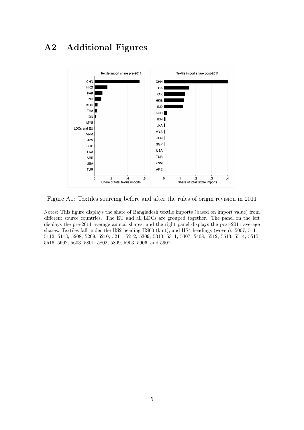## A2 Additional Figures



Figure A1: Textiles sourcing before and after the rules of origin revision in 2011

Notes: This figure displays the share of Bangladesh textile imports (based on import value) from different source countries. The EU and all LDCs are grouped together. The panel on the left displays the pre-2011 average annual shares, and the right panel displays the post-2011 average shares. Textiles fall under the HS2 heading HS60 (knit), and HS4 headings (woven): 5007, 5111, 5112, 5113, 5208, 5209, 5210, 5211, 5212, 5309, 5310, 5311, 5407, 5408, 5512, 5513, 5514, 5515, 5516, 5602, 5603, 5801, 5802, 5809, 5903, 5906, and 5907.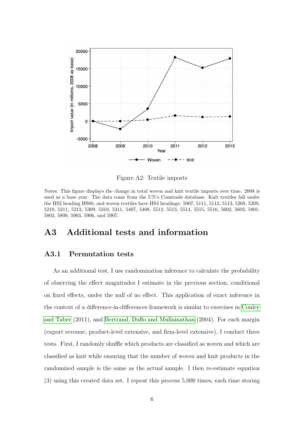

Figure A2: Textile imports

Notes: This figure displays the change in total woven and knit textile imports over time. 2008 is used as a base year. The data come from the UN's Comtrade database. Knit textiles fall under the HS2 heading HS60, and woven textiles have HS4 headings: 5007, 5111, 5112, 5113, 5208, 5209, 5210, 5211, 5212, 5309, 5310, 5311, 5407, 5408, 5512, 5513, 5514, 5515, 5516, 5602, 5603, 5801, 5802, 5809, 5903, 5906, and 5907.

### A3 Additional tests and information

### A3.1 Permutation tests

As an additional test, I use randomization inference to calculate the probability of observing the effect magnitudes I estimate in the previous section, conditional on fixed effects, under the null of no effect. This application of exact inference in the context of a difference-in-differences framework is similar to exercises in [Conley](#page-11-0) [and Taber](#page-11-0) (2011), and [Bertrand, Duflo and Mullainathan](#page-11-1) (2004). For each margin (export revenue, product-level extensive, and firm-level extensive), I conduct three tests. First, I randomly shuffle which products are classified as woven and which are classified as knit while ensuring that the number of woven and knit products in the randomized sample is the same as the actual sample. I then re-estimate equation (3) using this created data set. I repeat this process 5,000 times, each time storing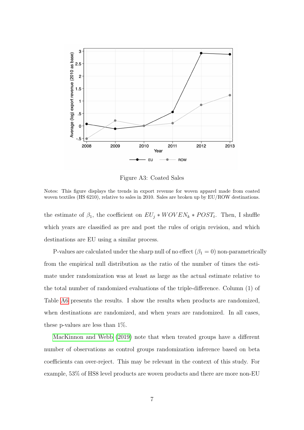

Figure A3: Coated Sales

Notes: This figure displays the trends in export revenue for woven apparel made from coated woven textiles (HS 6210), relative to sales in 2010. Sales are broken up by EU/ROW destinations.

the estimate of  $\beta_1$ , the coefficient on  $EU_j * WOVEN_k * POST_t$ . Then, I shuffle which years are classified as pre and post the rules of origin revision, and which destinations are EU using a similar process.

P-values are calculated under the sharp null of no effect  $(\beta_1 = 0)$  non-parametrically from the empirical null distribution as the ratio of the number of times the estimate under randomization was at least as large as the actual estimate relative to the total number of randomized evaluations of the triple-difference. Column (1) of Table [A6](#page-10-0) presents the results. I show the results when products are randomized, when destinations are randomized, and when years are randomized. In all cases, these p-values are less than 1%.

[MacKinnon and Webb](#page-11-2) [\(2019\)](#page-11-2) note that when treated groups have a different number of observations as control groups randomization inference based on beta coefficients can over-reject. This may be relevant in the context of this study. For example, 53% of HS8 level products are woven products and there are more non-EU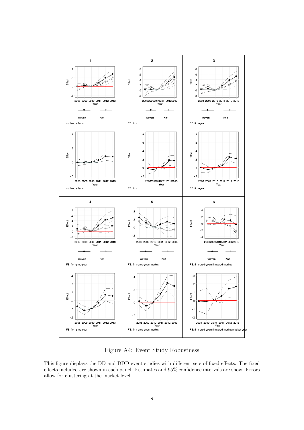

Figure A4: Event Study Robustness

This figure displays the DD and DDD event studies with different sets of fixed effects. The fixed effects included are shown in each panel. Estimates and 95% confidence intervals are show. Errors allow for clustering at the market level.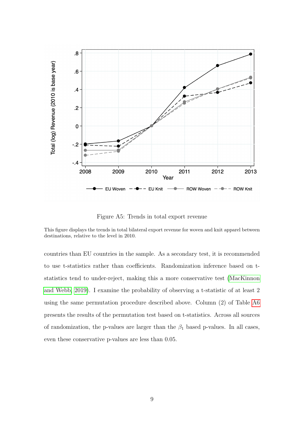

Figure A5: Trends in total export revenue

This figure displays the trends in total bilateral export revenue for woven and knit apparel between destinations, relative to the level in 2010.

countries than EU countries in the sample. As a secondary test, it is recommended to use t-statistics rather than coefficients. Randomization inference based on tstatistics tend to under-reject, making this a more conservative test [\(MacKinnon](#page-11-2) [and Webb, 2019\)](#page-11-2). I examine the probability of observing a t-statistic of at least 2 using the same permutation procedure described above. Column (2) of Table [A6](#page-10-0) presents the results of the permutation test based on t-statistics. Across all sources of randomization, the p-values are larger than the  $\beta_1$  based p-values. In all cases, even these conservative p-values are less than 0.05.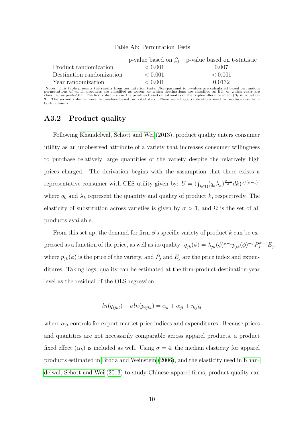<span id="page-10-0"></span>

|                           |         | p-value based on $\beta_1$ p-value based on t-statistic |
|---------------------------|---------|---------------------------------------------------------|
| Product randomization     | < 0.001 | 0.007                                                   |
| Destination randomization | < 0.001 | < 0.001                                                 |
| Year randomization        | < 0.001 | 0.0132                                                  |

Table A6: Permutation Tests

Notes: This table presents the results from permutation tests. Non-parametric p-values are calculated based on random<br>permutations of which products are classified as woven, or which destinations are classified as EU, or

#### A3.2 Product quality

Following [Khandelwal, Schott and Wei](#page-11-3) (2013), product quality enters consumer utility as an unobserved attribute of a variety that increases consumer willingness to purchase relatively large quantities of the variety despite the relatively high prices charged. The derivation begins with the assumption that there exists a representative consumer with CES utility given by:  $U = (\int_{k \in \Omega} (q_k \lambda_k)^{\frac{\sigma-1}{\sigma}} dk)^{\sigma/(\sigma-1)}$ , where  $q_k$  and  $\lambda_k$  represent the quantity and quality of product k, respectively. The elasticity of substitution across varieties is given by  $\sigma > 1$ , and  $\Omega$  is the set of all products available.

From this set up, the demand for firm  $\phi$ 's specific variety of product k can be expressed as a function of the price, as well as its quality:  $q_{jk}(\phi) = \lambda_{jk}(\phi)^{\sigma-1} p_{jk}(\phi)^{-\sigma} P_j^{\sigma-1} E_j$ , where  $p_{jk}(\phi)$  is the price of the variety, and  $P_j$  and  $E_j$  are the price index and expenditures. Taking logs, quality can be estimated at the firm-product-destination-year level as the residual of the OLS regression:

$$
ln(q_{ijkt}) + \sigma ln(p_{ijkt}) = \alpha_k + \alpha_{jt} + \eta_{ijkt}
$$

where  $\alpha_{jt}$  controls for export market price indices and expenditures. Because prices and quantities are not necessarily comparable across apparel products, a product fixed effect  $(\alpha_k)$  is included as well. Using  $\sigma = 4$ , the median elasticity for apparel products estimated in [Broda and Weinstein](#page-11-4) [\(2006\)](#page-11-4), and the elasticity used in [Khan](#page-11-3)[delwal, Schott and Wei](#page-11-3) [\(2013\)](#page-11-3) to study Chinese apparel firms, product quality can